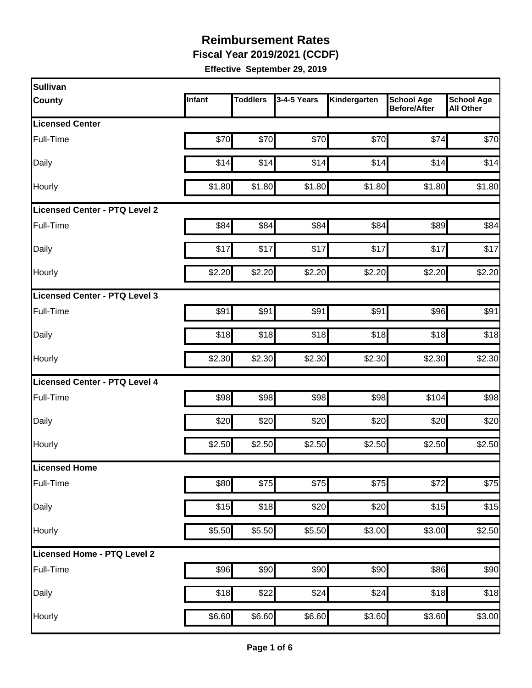**Fiscal Year 2019/2021 (CCDF)**

| Sullivan                      |        |                 |             |              |                                          |                                       |
|-------------------------------|--------|-----------------|-------------|--------------|------------------------------------------|---------------------------------------|
| <b>County</b>                 | Infant | <b>Toddlers</b> | 3-4-5 Years | Kindergarten | <b>School Age</b><br><b>Before/After</b> | <b>School Age</b><br><b>All Other</b> |
| <b>Licensed Center</b>        |        |                 |             |              |                                          |                                       |
| Full-Time                     | \$70   | \$70            | \$70        | \$70         | \$74                                     | \$70                                  |
| Daily                         | \$14   | \$14            | \$14        | \$14         | \$14                                     | \$14                                  |
| Hourly                        | \$1.80 | \$1.80          | \$1.80      | \$1.80       | \$1.80                                   | \$1.80                                |
| Licensed Center - PTQ Level 2 |        |                 |             |              |                                          |                                       |
| Full-Time                     | \$84   | \$84            | \$84        | \$84         | \$89                                     | \$84                                  |
| Daily                         | \$17   | \$17            | \$17        | \$17         | \$17                                     | \$17                                  |
| Hourly                        | \$2.20 | \$2.20          | \$2.20      | \$2.20       | \$2.20                                   | \$2.20                                |
| Licensed Center - PTQ Level 3 |        |                 |             |              |                                          |                                       |
| Full-Time                     | \$91   | \$91            | \$91        | \$91         | \$96                                     | \$91                                  |
| Daily                         | \$18   | \$18            | \$18        | \$18         | \$18                                     | \$18                                  |
| Hourly                        | \$2.30 | \$2.30          | \$2.30      | \$2.30       | \$2.30                                   | \$2.30                                |
| Licensed Center - PTQ Level 4 |        |                 |             |              |                                          |                                       |
| Full-Time                     | \$98   | \$98            | \$98        | \$98         | \$104                                    | \$98                                  |
| Daily                         | \$20   | \$20            | \$20        | \$20         | \$20                                     | \$20                                  |
| Hourly                        | \$2.50 | \$2.50          | \$2.50      | \$2.50       | \$2.50                                   | \$2.50                                |
| Licensed Home                 |        |                 |             |              |                                          |                                       |
| Full-Time                     | \$80   | \$75            | \$75        | \$75         | \$72                                     | \$75                                  |
| Daily                         | \$15   | \$18            | \$20        | \$20         | \$15                                     | \$15                                  |
| Hourly                        | \$5.50 | \$5.50          | \$5.50      | \$3.00       | \$3.00                                   | \$2.50                                |
| Licensed Home - PTQ Level 2   |        |                 |             |              |                                          |                                       |
| Full-Time                     | \$96   | \$90            | \$90        | \$90         | \$86                                     | \$90                                  |
| Daily                         | \$18   | \$22            | \$24        | \$24         | \$18                                     | \$18                                  |
| Hourly                        | \$6.60 | \$6.60          | \$6.60      | \$3.60       | \$3.60                                   | \$3.00                                |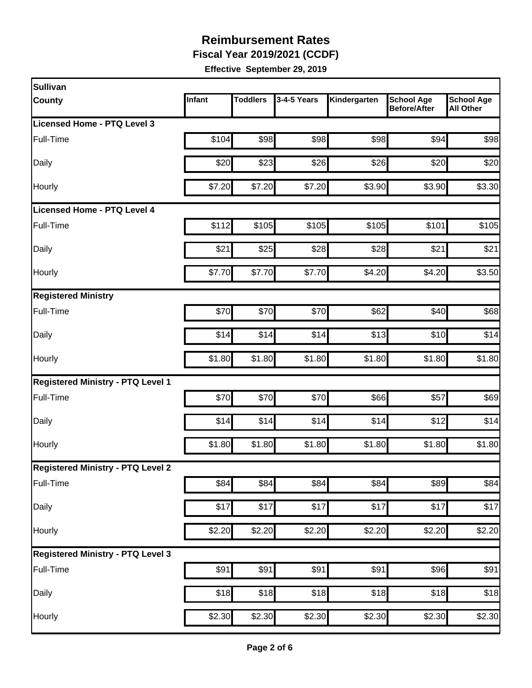**Fiscal Year 2019/2021 (CCDF)**

| Sullivan                                 |        |                 |             |              |                                          |                                       |
|------------------------------------------|--------|-----------------|-------------|--------------|------------------------------------------|---------------------------------------|
| <b>County</b>                            | Infant | <b>Toddlers</b> | 3-4-5 Years | Kindergarten | <b>School Age</b><br><b>Before/After</b> | <b>School Age</b><br><b>All Other</b> |
| Licensed Home - PTQ Level 3              |        |                 |             |              |                                          |                                       |
| Full-Time                                | \$104  | \$98            | \$98        | \$98         | \$94                                     | \$98                                  |
| Daily                                    | \$20   | \$23            | \$26        | \$26         | \$20                                     | \$20                                  |
| Hourly                                   | \$7.20 | \$7.20          | \$7.20      | \$3.90       | \$3.90                                   | \$3.30                                |
| Licensed Home - PTQ Level 4              |        |                 |             |              |                                          |                                       |
| Full-Time                                | \$112  | \$105           | \$105       | \$105        | \$101                                    | \$105                                 |
| Daily                                    | \$21   | \$25            | \$28        | \$28         | \$21                                     | \$21                                  |
| Hourly                                   | \$7.70 | \$7.70          | \$7.70      | \$4.20       | \$4.20                                   | \$3.50                                |
| <b>Registered Ministry</b>               |        |                 |             |              |                                          |                                       |
| Full-Time                                | \$70   | \$70            | \$70        | \$62         | \$40                                     | \$68                                  |
| Daily                                    | \$14   | \$14            | \$14        | \$13         | \$10                                     | \$14                                  |
| Hourly                                   | \$1.80 | \$1.80          | \$1.80      | \$1.80       | \$1.80                                   | \$1.80                                |
| <b>Registered Ministry - PTQ Level 1</b> |        |                 |             |              |                                          |                                       |
| Full-Time                                | \$70   | \$70            | \$70        | \$66         | \$57                                     | \$69                                  |
| Daily                                    | \$14   | \$14            | \$14        | \$14         | \$12                                     | \$14                                  |
| Hourly                                   | \$1.80 | \$1.80          | \$1.80      | \$1.80       | \$1.80                                   | \$1.80                                |
| <b>Registered Ministry - PTQ Level 2</b> |        |                 |             |              |                                          |                                       |
| Full-Time                                | \$84   | \$84            | \$84        | \$84         | \$89                                     | \$84                                  |
| Daily                                    | \$17   | \$17            | \$17        | \$17         | \$17                                     | \$17                                  |
| Hourly                                   | \$2.20 | \$2.20          | \$2.20      | \$2.20       | \$2.20                                   | \$2.20                                |
| <b>Registered Ministry - PTQ Level 3</b> |        |                 |             |              |                                          |                                       |
| Full-Time                                | \$91   | \$91            | \$91        | \$91         | \$96                                     | \$91                                  |
| Daily                                    | \$18   | \$18            | \$18        | \$18         | \$18                                     | \$18                                  |
| Hourly                                   | \$2.30 | \$2.30          | \$2.30      | \$2.30       | \$2.30                                   | \$2.30                                |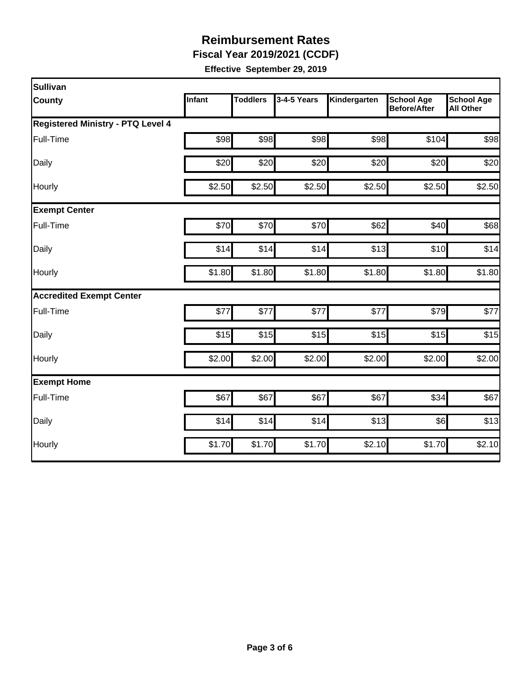**Fiscal Year 2019/2021 (CCDF)**

| Sullivan                                 |               |                 |             |              |                                   |                                       |  |  |  |
|------------------------------------------|---------------|-----------------|-------------|--------------|-----------------------------------|---------------------------------------|--|--|--|
| <b>County</b>                            | <b>Infant</b> | <b>Toddlers</b> | 3-4-5 Years | Kindergarten | <b>School Age</b><br>Before/After | <b>School Age</b><br><b>All Other</b> |  |  |  |
| <b>Registered Ministry - PTQ Level 4</b> |               |                 |             |              |                                   |                                       |  |  |  |
| Full-Time                                | \$98          | \$98            | \$98        | \$98         | \$104                             | \$98                                  |  |  |  |
| Daily                                    | \$20          | \$20            | \$20        | \$20         | \$20                              | \$20                                  |  |  |  |
| Hourly                                   | \$2.50        | \$2.50          | \$2.50      | \$2.50       | \$2.50                            | \$2.50                                |  |  |  |
| <b>Exempt Center</b>                     |               |                 |             |              |                                   |                                       |  |  |  |
| Full-Time                                | \$70          | \$70            | \$70        | \$62         | \$40                              | \$68                                  |  |  |  |
| Daily                                    | \$14          | \$14]           | \$14        | \$13         | \$10                              | \$14                                  |  |  |  |
| Hourly                                   | \$1.80        | \$1.80          | \$1.80      | \$1.80       | \$1.80                            | \$1.80                                |  |  |  |
| <b>Accredited Exempt Center</b>          |               |                 |             |              |                                   |                                       |  |  |  |
| Full-Time                                | \$77          | \$77            | \$77        | \$77         | \$79                              | \$77                                  |  |  |  |
| Daily                                    | \$15          | \$15            | \$15        | \$15         | \$15                              | \$15                                  |  |  |  |
| Hourly                                   | \$2.00        | \$2.00          | \$2.00      | \$2.00       | \$2.00                            | \$2.00                                |  |  |  |
| <b>Exempt Home</b>                       |               |                 |             |              |                                   |                                       |  |  |  |
| Full-Time                                | \$67          | \$67            | \$67        | \$67         | \$34                              | \$67                                  |  |  |  |
| Daily                                    | \$14          | \$14            | \$14        | \$13         | \$6]                              | \$13                                  |  |  |  |
| Hourly                                   | \$1.70        | \$1.70          | \$1.70      | \$2.10       | \$1.70                            | \$2.10                                |  |  |  |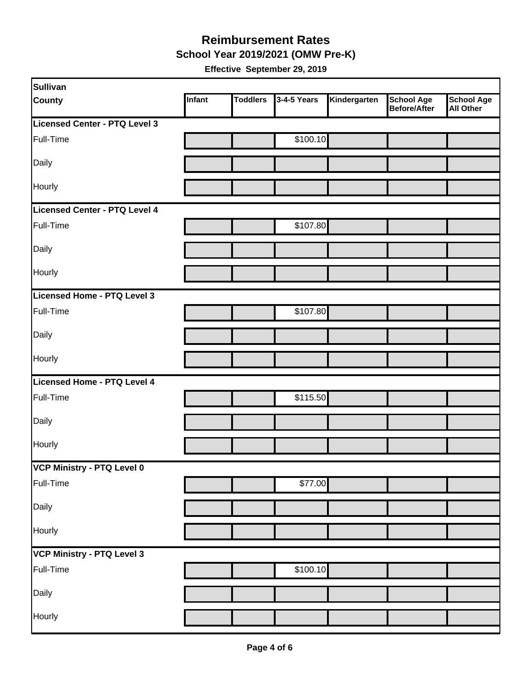#### **School Year 2019/2021 (OMW Pre-K) Reimbursement Rates**

| Sullivan                          |        |                 |             |              |                                          |                         |
|-----------------------------------|--------|-----------------|-------------|--------------|------------------------------------------|-------------------------|
| <b>County</b>                     | Infant | <b>Toddlers</b> | 3-4-5 Years | Kindergarten | <b>School Age</b><br><b>Before/After</b> | School Age<br>All Other |
| Licensed Center - PTQ Level 3     |        |                 |             |              |                                          |                         |
| Full-Time                         |        |                 | \$100.10    |              |                                          |                         |
| Daily                             |        |                 |             |              |                                          |                         |
| Hourly                            |        |                 |             |              |                                          |                         |
| Licensed Center - PTQ Level 4     |        |                 |             |              |                                          |                         |
| Full-Time                         |        |                 | \$107.80    |              |                                          |                         |
| Daily                             |        |                 |             |              |                                          |                         |
| Hourly                            |        |                 |             |              |                                          |                         |
| Licensed Home - PTQ Level 3       |        |                 |             |              |                                          |                         |
| Full-Time                         |        |                 | \$107.80    |              |                                          |                         |
| Daily                             |        |                 |             |              |                                          |                         |
| Hourly                            |        |                 |             |              |                                          |                         |
| Licensed Home - PTQ Level 4       |        |                 |             |              |                                          |                         |
| Full-Time                         |        |                 | \$115.50    |              |                                          |                         |
| Daily                             |        |                 |             |              |                                          |                         |
| Hourly                            |        |                 |             |              |                                          |                         |
| VCP Ministry - PTQ Level 0        |        |                 |             |              |                                          |                         |
| Full-Time                         |        |                 | \$77.00     |              |                                          |                         |
| Daily                             |        |                 |             |              |                                          |                         |
| Hourly                            |        |                 |             |              |                                          |                         |
| <b>VCP Ministry - PTQ Level 3</b> |        |                 |             |              |                                          |                         |
| Full-Time                         |        |                 | \$100.10    |              |                                          |                         |
| Daily                             |        |                 |             |              |                                          |                         |
| Hourly                            |        |                 |             |              |                                          |                         |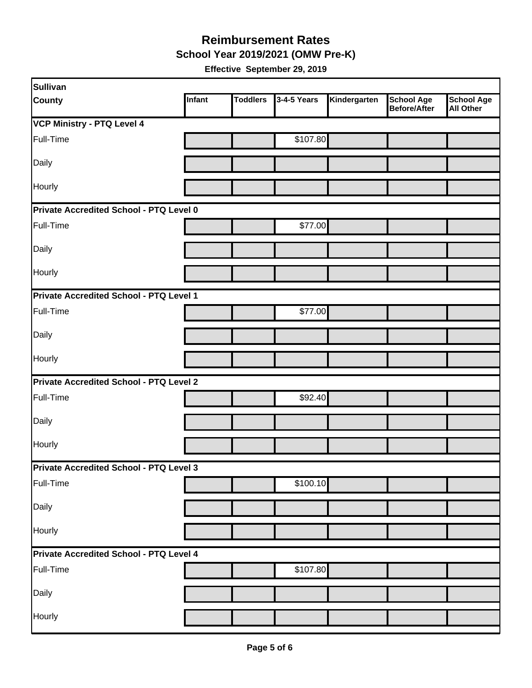**School Year 2019/2021 (OMW Pre-K)**

| Sullivan                                |        |                 |             |              |                                   |                                       |  |  |
|-----------------------------------------|--------|-----------------|-------------|--------------|-----------------------------------|---------------------------------------|--|--|
| <b>County</b>                           | Infant | <b>Toddlers</b> | 3-4-5 Years | Kindergarten | <b>School Age</b><br>Before/After | <b>School Age</b><br><b>All Other</b> |  |  |
| <b>VCP Ministry - PTQ Level 4</b>       |        |                 |             |              |                                   |                                       |  |  |
| Full-Time                               |        |                 | \$107.80    |              |                                   |                                       |  |  |
| Daily                                   |        |                 |             |              |                                   |                                       |  |  |
| Hourly                                  |        |                 |             |              |                                   |                                       |  |  |
| Private Accredited School - PTQ Level 0 |        |                 |             |              |                                   |                                       |  |  |
| Full-Time                               |        |                 | \$77.00     |              |                                   |                                       |  |  |
| Daily                                   |        |                 |             |              |                                   |                                       |  |  |
| Hourly                                  |        |                 |             |              |                                   |                                       |  |  |
| Private Accredited School - PTQ Level 1 |        |                 |             |              |                                   |                                       |  |  |
| Full-Time                               |        |                 | \$77.00     |              |                                   |                                       |  |  |
| Daily                                   |        |                 |             |              |                                   |                                       |  |  |
| <b>Hourly</b>                           |        |                 |             |              |                                   |                                       |  |  |
| Private Accredited School - PTQ Level 2 |        |                 |             |              |                                   |                                       |  |  |
| Full-Time                               |        |                 | \$92.40     |              |                                   |                                       |  |  |
| Daily                                   |        |                 |             |              |                                   |                                       |  |  |
| Hourly                                  |        |                 |             |              |                                   |                                       |  |  |
| Private Accredited School - PTQ Level 3 |        |                 |             |              |                                   |                                       |  |  |
| Full-Time                               |        |                 | \$100.10    |              |                                   |                                       |  |  |
| Daily                                   |        |                 |             |              |                                   |                                       |  |  |
| Hourly                                  |        |                 |             |              |                                   |                                       |  |  |
| Private Accredited School - PTQ Level 4 |        |                 |             |              |                                   |                                       |  |  |
| Full-Time                               |        |                 | \$107.80    |              |                                   |                                       |  |  |
| Daily                                   |        |                 |             |              |                                   |                                       |  |  |
| Hourly                                  |        |                 |             |              |                                   |                                       |  |  |